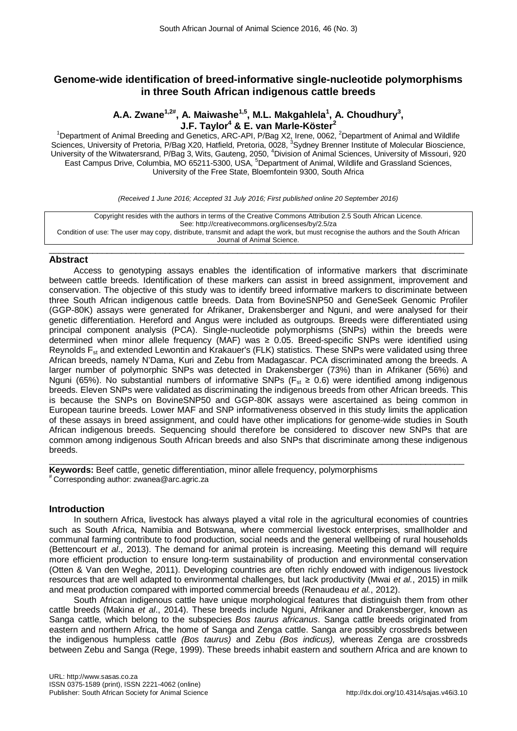# **Genome-wide identification of breed-informative single-nucleotide polymorphisms in three South African indigenous cattle breeds**

# **A.A. Zwane1,2# , A. Maiwashe1,5, M.L. Makgahlela<sup>1</sup> , A. Choudhury3 , J.F. Taylor<sup>4</sup> & E. van Marle-Köster<sup>2</sup>**

<sup>1</sup>Department of Animal Breeding and Genetics, ARC-API, P/Bag X2, Irene, 0062, <sup>2</sup>Department of Animal and Wildlife Sciences, University of Pretoria, P/Bag X20, Hatfield, Pretoria, 0028, <sup>3</sup>Sydney Brenner Institute of Molecular Bioscience, University of the Witwatersrand, P/Bag 3, Wits, Gauteng, 2050, <sup>4</sup>Division of Animal Sciences, University of Missouri, 920 East Campus Drive, Columbia, MO 65211-5300, USA, <sup>5</sup>Department of Animal, Wildlife and Grassland Sciences, University of the Free State, Bloemfontein 9300, South Africa

*(Received 1 June 2016; Accepted 31 July 2016; First published online 20 September 2016)*

Copyright resides with the authors in terms of the Creative Commons Attribution 2.5 South African Licence. See: http://creativecommons.org/licenses/by/2.5/za Condition of use: The user may copy, distribute, transmit and adapt the work, but must recognise the authors and the South African Journal of Animal Science.

### $\_$  , and the set of the set of the set of the set of the set of the set of the set of the set of the set of the set of the set of the set of the set of the set of the set of the set of the set of the set of the set of th **Abstract**

Access to genotyping assays enables the identification of informative markers that discriminate between cattle breeds. Identification of these markers can assist in breed assignment, improvement and conservation. The objective of this study was to identify breed informative markers to discriminate between three South African indigenous cattle breeds. Data from BovineSNP50 and GeneSeek Genomic Profiler (GGP-80K) assays were generated for Afrikaner, Drakensberger and Nguni, and were analysed for their genetic differentiation. Hereford and Angus were included as outgroups. Breeds were differentiated using principal component analysis (PCA). Single-nucleotide polymorphisms (SNPs) within the breeds were determined when minor allele frequency (MAF) was  $\geq$  0.05. Breed-specific SNPs were identified using Reynolds F<sub>st</sub> and extended Lewontin and Krakauer's (FLK) statistics. These SNPs were validated using three African breeds, namely N'Dama, Kuri and Zebu from Madagascar. PCA discriminated among the breeds. A larger number of polymorphic SNPs was detected in Drakensberger (73%) than in Afrikaner (56%) and Nguni (65%). No substantial numbers of informative SNPs ( $F_{st} \ge 0.6$ ) were identified among indigenous breeds. Eleven SNPs were validated as discriminating the indigenous breeds from other African breeds. This is because the SNPs on BovineSNP50 and GGP-80K assays were ascertained as being common in European taurine breeds. Lower MAF and SNP informativeness observed in this study limits the application of these assays in breed assignment, and could have other implications for genome-wide studies in South African indigenous breeds. Sequencing should therefore be considered to discover new SNPs that are common among indigenous South African breeds and also SNPs that discriminate among these indigenous breeds.

 $\_$  ,  $\_$  ,  $\_$  ,  $\_$  ,  $\_$  ,  $\_$  ,  $\_$  ,  $\_$  ,  $\_$  ,  $\_$  ,  $\_$  ,  $\_$  ,  $\_$  ,  $\_$  ,  $\_$  ,  $\_$  ,  $\_$  ,  $\_$  ,  $\_$  ,  $\_$  ,  $\_$  ,  $\_$  ,  $\_$  ,  $\_$  ,  $\_$  ,  $\_$  ,  $\_$  ,  $\_$  ,  $\_$  ,  $\_$  ,  $\_$  ,  $\_$  ,  $\_$  ,  $\_$  ,  $\_$  ,  $\_$  ,  $\_$  , **Keywords:** Beef cattle, genetic differentiation, minor allele frequency, polymorphisms # Corresponding author: zwanea@arc.agric.za

## **Introduction**

In southern Africa, livestock has always played a vital role in the agricultural economies of countries such as South Africa, Namibia and Botswana, where commercial livestock enterprises, smallholder and communal farming contribute to food production, social needs and the general wellbeing of rural households (Bettencourt *et al*., 2013). The demand for animal protein is increasing. Meeting this demand will require more efficient production to ensure long-term sustainability of production and environmental conservation (Otten & Van den Weghe, 2011). Developing countries are often richly endowed with indigenous livestock resources that are well adapted to environmental challenges, but lack productivity (Mwai *et al.*, 2015) in milk and meat production compared with imported commercial breeds (Renaudeau *et al.*, 2012).

South African indigenous cattle have unique morphological features that distinguish them from other cattle breeds (Makina *et al*., 2014). These breeds include Nguni, Afrikaner and Drakensberger, known as Sanga cattle, which belong to the subspecies *Bos taurus africanus*. Sanga cattle breeds originated from eastern and northern Africa, the home of Sanga and Zenga cattle. Sanga are possibly crossbreds between the indigenous humpless cattle *(Bos taurus)* and Zebu *(Bos indicus),* whereas Zenga are crossbreds between Zebu and Sanga (Rege, 1999). These breeds inhabit eastern and southern Africa and are known to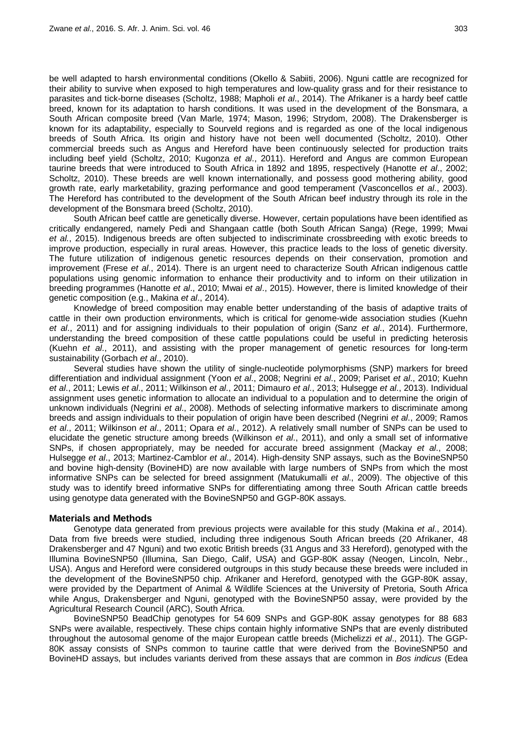be well adapted to harsh environmental conditions (Okello & Sabiiti, 2006). Nguni cattle are recognized for their ability to survive when exposed to high temperatures and low-quality grass and for their resistance to parasites and tick-borne diseases (Scholtz, 1988; Mapholi *et al*., 2014). The Afrikaner is a hardy beef cattle breed, known for its adaptation to harsh conditions. It was used in the development of the Bonsmara, a South African composite breed (Van Marle, 1974; Mason, 1996; Strydom, 2008). The Drakensberger is known for its adaptability, especially to Sourveld regions and is regarded as one of the local indigenous breeds of South Africa. Its origin and history have not been well documented (Scholtz, 2010). Other commercial breeds such as Angus and Hereford have been continuously selected for production traits including beef yield (Scholtz, 2010; Kugonza *et al*., 2011). Hereford and Angus are common European taurine breeds that were introduced to South Africa in 1892 and 1895, respectively (Hanotte *et al*., 2002; Scholtz, 2010). These breeds are well known internationally, and possess good mothering ability, good growth rate, early marketability, grazing performance and good temperament (Vasconcellos *et al*., 2003). The Hereford has contributed to the development of the South African beef industry through its role in the development of the Bonsmara breed (Scholtz, 2010).

South African beef cattle are genetically diverse. However, certain populations have been identified as critically endangered, namely Pedi and Shangaan cattle (both South African Sanga) (Rege, 1999; Mwai *et al.*, 2015). Indigenous breeds are often subjected to indiscriminate crossbreeding with exotic breeds to improve production, especially in rural areas. However, this practice leads to the loss of genetic diversity. The future utilization of indigenous genetic resources depends on their conservation, promotion and improvement (Frese *et al*., 2014). There is an urgent need to characterize South African indigenous cattle populations using genomic information to enhance their productivity and to inform on their utilization in breeding programmes (Hanotte *et al*., 2010; Mwai *et al*., 2015). However, there is limited knowledge of their genetic composition (e.g., Makina *et al*., 2014).

Knowledge of breed composition may enable better understanding of the basis of adaptive traits of cattle in their own production environments, which is critical for genome-wide association studies (Kuehn *et al*., 2011) and for assigning individuals to their population of origin (Sanz *et al*., 2014). Furthermore, understanding the breed composition of these cattle populations could be useful in predicting heterosis (Kuehn *et al*., 2011), and assisting with the proper management of genetic resources for long-term sustainability (Gorbach *et al*., 2010).

Several studies have shown the utility of single-nucleotide polymorphisms (SNP) markers for breed differentiation and individual assignment (Yoon *et al*., 2008; Negrini *et al*., 2009; Pariset *et al*., 2010; Kuehn *et al*., 2011; Lewis *et al*., 2011; Wilkinson *et al*., 2011; Dimauro *et al*., 2013; Hulsegge *et al*., 2013). Individual assignment uses genetic information to allocate an individual to a population and to determine the origin of unknown individuals (Negrini *et al*., 2008). Methods of selecting informative markers to discriminate among breeds and assign individuals to their population of origin have been described (Negrini *et al*., 2009; Ramos *et al*., 2011; Wilkinson *et al*., 2011; Opara *et al*., 2012). A relatively small number of SNPs can be used to elucidate the genetic structure among breeds (Wilkinson *et al*., 2011), and only a small set of informative SNPs, if chosen appropriately, may be needed for accurate breed assignment (Mackay *et al*., 2008; Hulsegge *et al*., 2013; Martinez-Camblor *et al*., 2014). High-density SNP assays, such as the BovineSNP50 and bovine high-density (BovineHD) are now available with large numbers of SNPs from which the most informative SNPs can be selected for breed assignment (Matukumalli *et al*., 2009). The objective of this study was to identify breed informative SNPs for differentiating among three South African cattle breeds using genotype data generated with the BovineSNP50 and GGP-80K assays.

### **Materials and Methods**

Genotype data generated from previous projects were available for this study (Makina *et al*., 2014). Data from five breeds were studied, including three indigenous South African breeds (20 Afrikaner, 48 Drakensberger and 47 Nguni) and two exotic British breeds (31 Angus and 33 Hereford), genotyped with the Illumina BovineSNP50 (Illumina, San Diego, Calif, USA) and GGP-80K assay (Neogen, Lincoln, Nebr., USA). Angus and Hereford were considered outgroups in this study because these breeds were included in the development of the BovineSNP50 chip. Afrikaner and Hereford, genotyped with the GGP-80K assay, were provided by the Department of Animal & Wildlife Sciences at the University of Pretoria, South Africa while Angus, Drakensberger and Nguni, genotyped with the BovineSNP50 assay, were provided by the Agricultural Research Council (ARC), South Africa.

BovineSNP50 BeadChip genotypes for 54 609 SNPs and GGP-80K assay genotypes for 88 683 SNPs were available, respectively. These chips contain highly informative SNPs that are evenly distributed throughout the autosomal genome of the major European cattle breeds (Michelizzi *et al*., 2011). The GGP-80K assay consists of SNPs common to taurine cattle that were derived from the BovineSNP50 and BovineHD assays, but includes variants derived from these assays that are common in *Bos indicus* (Edea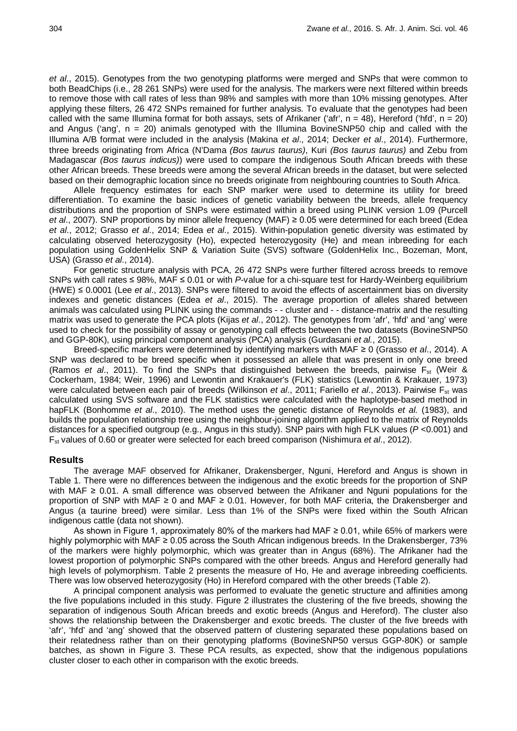*et al*., 2015). Genotypes from the two genotyping platforms were merged and SNPs that were common to both BeadChips (i.e., 28 261 SNPs) were used for the analysis. The markers were next filtered within breeds to remove those with call rates of less than 98% and samples with more than 10% missing genotypes. After applying these filters, 26 472 SNPs remained for further analysis. To evaluate that the genotypes had been called with the same Illumina format for both assays, sets of Afrikaner ('afr',  $n = 48$ ), Hereford ('hfd',  $n = 20$ ) and Angus ('ang',  $n = 20$ ) animals genotyped with the Illumina BovineSNP50 chip and called with the Illumina A/B format were included in the analysis (Makina *et al*., 2014; Decker *et al*., 2014). Furthermore, three breeds originating from Africa (N'Dama *(Bos taurus taurus)*, Kuri *(Bos taurus taurus)* and Zebu from Madagascar *(Bos taurus indicus)*) were used to compare the indigenous South African breeds with these other African breeds. These breeds were among the several African breeds in the dataset, but were selected based on their demographic location since no breeds originate from neighbouring countries to South Africa.

Allele frequency estimates for each SNP marker were used to determine its utility for breed differentiation. To examine the basic indices of genetic variability between the breeds, allele frequency distributions and the proportion of SNPs were estimated within a breed using PLINK version 1.09 (Purcell *et al*., 2007). SNP proportions by minor allele frequency (MAF) ≥ 0.05 were determined for each breed (Edea *et al*., 2012; Grasso *et al*., 2014; Edea *et al*., 2015). Within-population genetic diversity was estimated by calculating observed heterozygosity (Ho), expected heterozygosity (He) and mean inbreeding for each population using GoldenHelix SNP & Variation Suite (SVS) software (GoldenHelix Inc., Bozeman, Mont, USA) (Grasso *et al*., 2014).

For genetic structure analysis with PCA, 26 472 SNPs were further filtered across breeds to remove SNPs with call rates ≤ 98%, MAF ≤ 0.01 or with *P*-value for a chi-square test for Hardy-Weinberg equilibrium (HWE) ≤ 0.0001 (Lee *et al*., 2013). SNPs were filtered to avoid the effects of ascertainment bias on diversity indexes and genetic distances (Edea *et al*., 2015). The average proportion of alleles shared between animals was calculated using PLINK using the commands - - cluster and - - distance-matrix and the resulting matrix was used to generate the PCA plots (Kijas *et al*., 2012). The genotypes from 'afr', 'hfd' and 'ang' were used to check for the possibility of assay or genotyping call effects between the two datasets (BovineSNP50 and GGP-80K), using principal component analysis (PCA) analysis (Gurdasani *et al.*, 2015).

Breed-specific markers were determined by identifying markers with MAF ≥ 0 (Grasso *et al*., 2014). A SNP was declared to be breed specific when it possessed an allele that was present in only one breed (Ramos *et al.*, 2011). To find the SNPs that distinguished between the breeds, pairwise F<sub>st</sub> (Weir & Cockerham, 1984; Weir, 1996) and Lewontin and Krakauer's (FLK) statistics (Lewontin & Krakauer, 1973) were calculated between each pair of breeds (Wilkinson *et al.*, 2011; Fariello *et al.*, 2013). Pairwise F<sub>st</sub> was calculated using SVS software and the FLK statistics were calculated with the haplotype-based method in hapFLK (Bonhomme *et al*., 2010). The method uses the genetic distance of Reynolds *et al.* (1983), and builds the population relationship tree using the neighbour-joining algorithm applied to the matrix of Reynolds distances for a specified outgroup (e.g., Angus in this study). SNP pairs with high FLK values (*P* <0.001) and Fst values of 0.60 or greater were selected for each breed comparison (Nishimura *et al*., 2012).

## **Results**

The average MAF observed for Afrikaner, Drakensberger, Nguni, Hereford and Angus is shown in Table 1. There were no differences between the indigenous and the exotic breeds for the proportion of SNP with MAF ≥ 0.01. A small difference was observed between the Afrikaner and Nguni populations for the proportion of SNP with MAF ≥ 0 and MAF ≥ 0.01. However, for both MAF criteria, the Drakensberger and Angus (a taurine breed) were similar. Less than 1% of the SNPs were fixed within the South African indigenous cattle (data not shown).

As shown in Figure 1, approximately 80% of the markers had MAF ≥ 0.01, while 65% of markers were highly polymorphic with MAF ≥ 0.05 across the South African indigenous breeds. In the Drakensberger, 73% of the markers were highly polymorphic, which was greater than in Angus (68%). The Afrikaner had the lowest proportion of polymorphic SNPs compared with the other breeds. Angus and Hereford generally had high levels of polymorphism. Table 2 presents the measure of Ho, He and average inbreeding coefficients. There was low observed heterozygosity (Ho) in Hereford compared with the other breeds (Table 2).

A principal component analysis was performed to evaluate the genetic structure and affinities among the five populations included in this study. Figure 2 illustrates the clustering of the five breeds, showing the separation of indigenous South African breeds and exotic breeds (Angus and Hereford). The cluster also shows the relationship between the Drakensberger and exotic breeds. The cluster of the five breeds with 'afr', 'hfd' and 'ang' showed that the observed pattern of clustering separated these populations based on their relatedness rather than on their genotyping platforms (BovineSNP50 versus GGP-80K) or sample batches, as shown in Figure 3. These PCA results, as expected, show that the indigenous populations cluster closer to each other in comparison with the exotic breeds.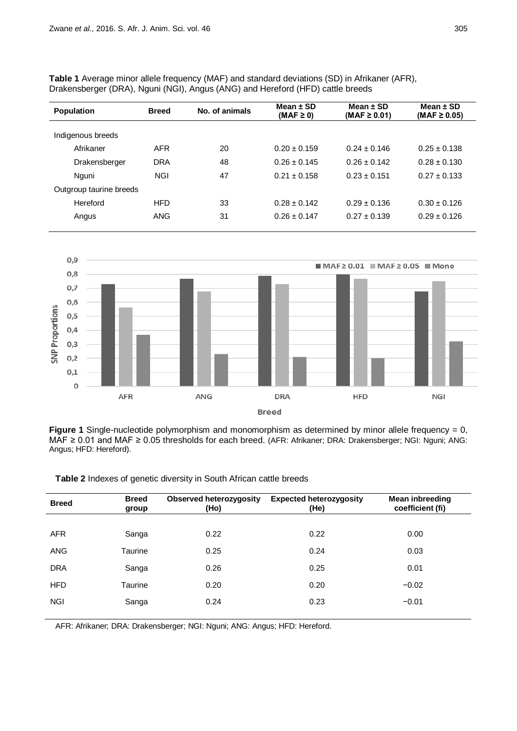**Table 1** Average minor allele frequency (MAF) and standard deviations (SD) in Afrikaner (AFR), Drakensberger (DRA), Nguni (NGI), Angus (ANG) and Hereford (HFD) cattle breeds

| <b>Population</b>       | <b>Breed</b> | No. of animals | Mean $\pm$ SD<br>$(MAF \geq 0)$ | Mean $\pm$ SD<br>$(MAF \ge 0.01)$ | Mean $\pm$ SD<br>(MAF $\geq$ 0.05) |
|-------------------------|--------------|----------------|---------------------------------|-----------------------------------|------------------------------------|
|                         |              |                |                                 |                                   |                                    |
| Indigenous breeds       |              |                |                                 |                                   |                                    |
| Afrikaner               | <b>AFR</b>   | 20             | $0.20 \pm 0.159$                | $0.24 \pm 0.146$                  | $0.25 \pm 0.138$                   |
| Drakensberger           | <b>DRA</b>   | 48             | $0.26 \pm 0.145$                | $0.26 + 0.142$                    | $0.28 \pm 0.130$                   |
| Nguni                   | <b>NGI</b>   | 47             | $0.21 \pm 0.158$                | $0.23 + 0.151$                    | $0.27 + 0.133$                     |
| Outgroup taurine breeds |              |                |                                 |                                   |                                    |
| Hereford                | <b>HFD</b>   | 33             | $0.28 \pm 0.142$                | $0.29 \pm 0.136$                  | $0.30 \pm 0.126$                   |
| Angus                   | ANG          | 31             | $0.26 \pm 0.147$                | $0.27 \pm 0.139$                  | $0.29 \pm 0.126$                   |
|                         |              |                |                                 |                                   |                                    |



**Figure 1** Single-nucleotide polymorphism and monomorphism as determined by minor allele frequency = 0, MAF ≥ 0.01 and MAF ≥ 0.05 thresholds for each breed. (AFR: Afrikaner; DRA: Drakensberger; NGI: Nguni; ANG: Angus; HFD: Hereford).

**Breed Breed group Observed heterozygosity (Ho) Expected heterozygosity (He) Mean inbreeding coefficient (fi)** AFR Sanga 0.22 0.22 0.00 ANG Taurine 0.25 0.24 0.03 DRA Sanga 0.26 0.25 0.01 HFD Taurine 0.20 0.20 −0.02 NGI Sanga 0.24 0.23 −0.01

**Table 2** Indexes of genetic diversity in South African cattle breeds

AFR: Afrikaner; DRA: Drakensberger; NGI: Nguni; ANG: Angus; HFD: Hereford.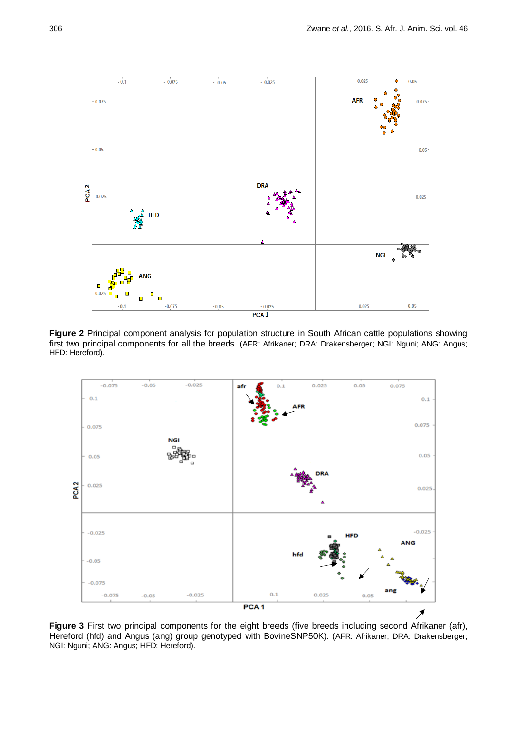

**Figure 2** Principal component analysis for population structure in South African cattle populations showing first two principal components for all the breeds. (AFR: Afrikaner; DRA: Drakensberger; NGI: Nguni; ANG: Angus; HFD: Hereford).



**Figure 3** First two principal components for the eight breeds (five breeds including second Afrikaner (afr), Hereford (hfd) and Angus (ang) group genotyped with BovineSNP50K). (AFR: Afrikaner; DRA: Drakensberger; NGI: Nguni; ANG: Angus; HFD: Hereford).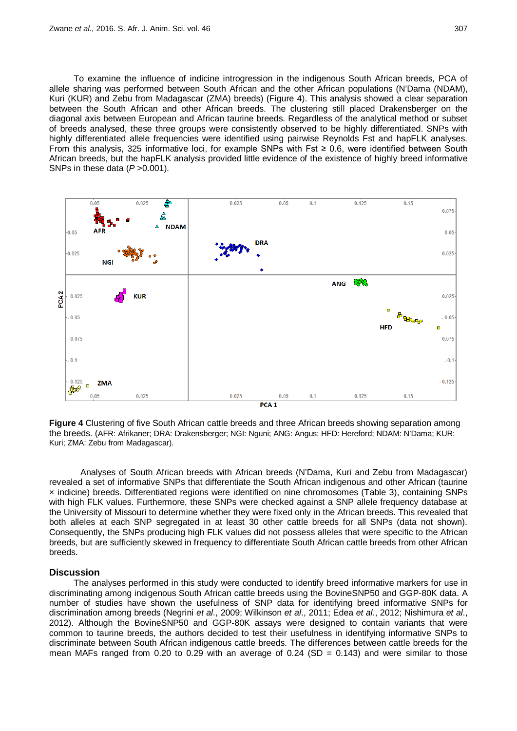To examine the influence of indicine introgression in the indigenous South African breeds, PCA of allele sharing was performed between South African and the other African populations (N'Dama (NDAM), Kuri (KUR) and Zebu from Madagascar (ZMA) breeds) (Figure 4). This analysis showed a clear separation between the South African and other African breeds. The clustering still placed Drakensberger on the diagonal axis between European and African taurine breeds. Regardless of the analytical method or subset of breeds analysed, these three groups were consistently observed to be highly differentiated. SNPs with highly differentiated allele frequencies were identified using pairwise Reynolds Fst and hapFLK analyses. From this analysis, 325 informative loci, for example SNPs with Fst ≥ 0.6, were identified between South African breeds, but the hapFLK analysis provided little evidence of the existence of highly breed informative SNPs in these data ( $P > 0.001$ ).



**Figure 4** Clustering of five South African cattle breeds and three African breeds showing separation among the breeds. (AFR: Afrikaner; DRA: Drakensberger; NGI: Nguni; ANG: Angus; HFD: Hereford; NDAM: N'Dama; KUR: Kuri; ZMA: Zebu from Madagascar).

Analyses of South African breeds with African breeds (N'Dama, Kuri and Zebu from Madagascar) revealed a set of informative SNPs that differentiate the South African indigenous and other African (taurine × indicine) breeds. Differentiated regions were identified on nine chromosomes (Table 3), containing SNPs with high FLK values. Furthermore, these SNPs were checked against a SNP allele frequency database at the University of Missouri to determine whether they were fixed only in the African breeds. This revealed that both alleles at each SNP segregated in at least 30 other cattle breeds for all SNPs (data not shown). Consequently, the SNPs producing high FLK values did not possess alleles that were specific to the African breeds, but are sufficiently skewed in frequency to differentiate South African cattle breeds from other African breeds.

#### **Discussion**

The analyses performed in this study were conducted to identify breed informative markers for use in discriminating among indigenous South African cattle breeds using the BovineSNP50 and GGP-80K data. A number of studies have shown the usefulness of SNP data for identifying breed informative SNPs for discrimination among breeds (Negrini *et al*., 2009; Wilkinson *et al*., 2011; Edea *et al*., 2012; Nishimura *et al*., 2012). Although the BovineSNP50 and GGP-80K assays were designed to contain variants that were common to taurine breeds, the authors decided to test their usefulness in identifying informative SNPs to discriminate between South African indigenous cattle breeds. The differences between cattle breeds for the mean MAFs ranged from 0.20 to 0.29 with an average of 0.24 (SD = 0.143) and were similar to those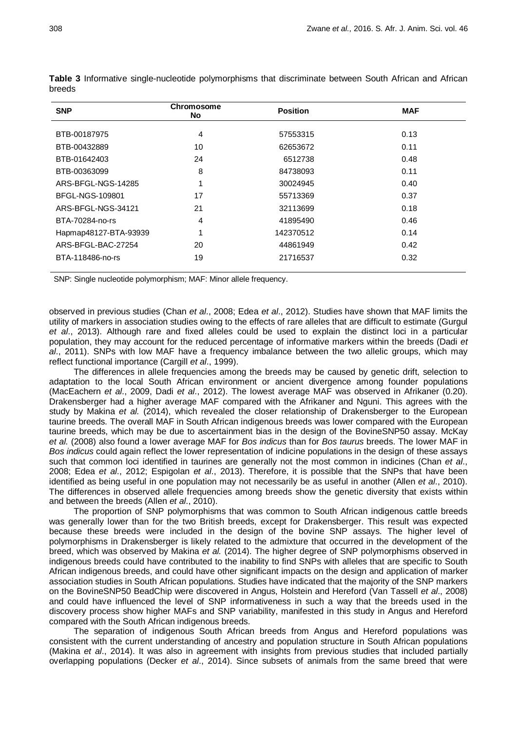| <b>SNP</b>            | Chromosome<br><b>No</b> | <b>Position</b> | <b>MAF</b> |
|-----------------------|-------------------------|-----------------|------------|
| BTB-00187975          | 4                       | 57553315        | 0.13       |
| BTB-00432889          | 10                      | 62653672        | 0.11       |
| BTB-01642403          | 24                      | 6512738         | 0.48       |
| BTB-00363099          | 8                       | 84738093        | 0.11       |
| ARS-BFGL-NGS-14285    |                         | 30024945        | 0.40       |
| BFGL-NGS-109801       | 17                      | 55713369        | 0.37       |
| ARS-BFGL-NGS-34121    | 21                      | 32113699        | 0.18       |
| BTA-70284-no-rs       | 4                       | 41895490        | 0.46       |
| Hapmap48127-BTA-93939 |                         | 142370512       | 0.14       |
| ARS-BFGL-BAC-27254    | 20                      | 44861949        | 0.42       |
| BTA-118486-no-rs      | 19                      | 21716537        | 0.32       |

**Table 3** Informative single-nucleotide polymorphisms that discriminate between South African and African breeds

SNP: Single nucleotide polymorphism; MAF: Minor allele frequency.

observed in previous studies (Chan *et al*., 2008; Edea *et al*., 2012). Studies have shown that MAF limits the utility of markers in association studies owing to the effects of rare alleles that are difficult to estimate (Gurgul *et al*., 2013). Although rare and fixed alleles could be used to explain the distinct loci in a particular population, they may account for the reduced percentage of informative markers within the breeds (Dadi *et al*., 2011). SNPs with low MAF have a frequency imbalance between the two allelic groups, which may reflect functional importance (Cargill *et al*., 1999).

The differences in allele frequencies among the breeds may be caused by genetic drift, selection to adaptation to the local South African environment or ancient divergence among founder populations (MacEachern *et al*., 2009, Dadi *et al*., 2012). The lowest average MAF was observed in Afrikaner (0.20). Drakensberger had a higher average MAF compared with the Afrikaner and Nguni. This agrees with the study by Makina *et al.* (2014), which revealed the closer relationship of Drakensberger to the European taurine breeds. The overall MAF in South African indigenous breeds was lower compared with the European taurine breeds, which may be due to ascertainment bias in the design of the BovineSNP50 assay. McKay *et al.* (2008) also found a lower average MAF for *Bos indicus* than for *Bos taurus* breeds. The lower MAF in *Bos indicus* could again reflect the lower representation of indicine populations in the design of these assays such that common loci identified in taurines are generally not the most common in indicines (Chan *et al*., 2008; Edea *et al*., 2012; Espigolan *et al*., 2013). Therefore, it is possible that the SNPs that have been identified as being useful in one population may not necessarily be as useful in another (Allen *et al*., 2010). The differences in observed allele frequencies among breeds show the genetic diversity that exists within and between the breeds (Allen *et al*., 2010).

The proportion of SNP polymorphisms that was common to South African indigenous cattle breeds was generally lower than for the two British breeds, except for Drakensberger. This result was expected because these breeds were included in the design of the bovine SNP assays. The higher level of polymorphisms in Drakensberger is likely related to the admixture that occurred in the development of the breed, which was observed by Makina *et al.* (2014). The higher degree of SNP polymorphisms observed in indigenous breeds could have contributed to the inability to find SNPs with alleles that are specific to South African indigenous breeds, and could have other significant impacts on the design and application of marker association studies in South African populations. Studies have indicated that the majority of the SNP markers on the BovineSNP50 BeadChip were discovered in Angus, Holstein and Hereford (Van Tassell *et al*., 2008) and could have influenced the level of SNP informativeness in such a way that the breeds used in the discovery process show higher MAFs and SNP variability, manifested in this study in Angus and Hereford compared with the South African indigenous breeds.

The separation of indigenous South African breeds from Angus and Hereford populations was consistent with the current understanding of ancestry and population structure in South African populations (Makina *et al*., 2014). It was also in agreement with insights from previous studies that included partially overlapping populations (Decker *et al*., 2014). Since subsets of animals from the same breed that were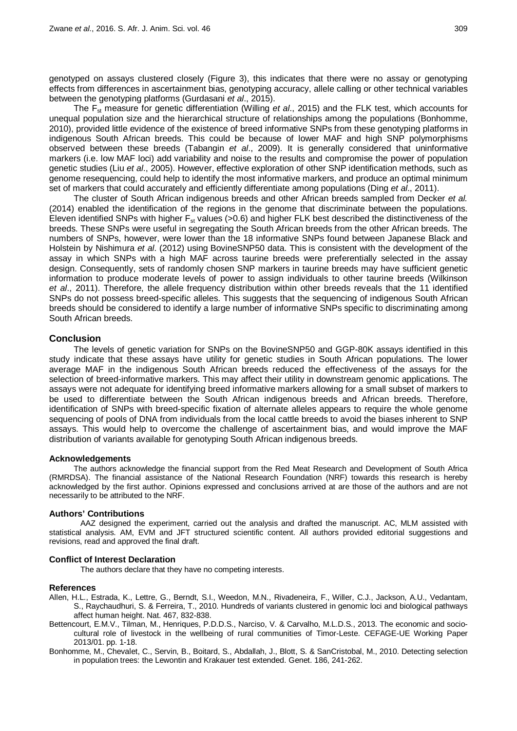genotyped on assays clustered closely (Figure 3), this indicates that there were no assay or genotyping effects from differences in ascertainment bias, genotyping accuracy, allele calling or other technical variables between the genotyping platforms (Gurdasani *et al*., 2015).

The Fst measure for genetic differentiation (Willing *et al*., 2015) and the FLK test, which accounts for unequal population size and the hierarchical structure of relationships among the populations (Bonhomme, 2010), provided little evidence of the existence of breed informative SNPs from these genotyping platforms in indigenous South African breeds. This could be because of lower MAF and high SNP polymorphisms observed between these breeds (Tabangin *et al*., 2009). It is generally considered that uninformative markers (i.e. low MAF loci) add variability and noise to the results and compromise the power of population genetic studies (Liu *et al*., 2005). However, effective exploration of other SNP identification methods, such as genome resequencing, could help to identify the most informative markers, and produce an optimal minimum set of markers that could accurately and efficiently differentiate among populations (Ding *et al*., 2011).

The cluster of South African indigenous breeds and other African breeds sampled from Decker *et al.* (2014) enabled the identification of the regions in the genome that discriminate between the populations. Eleven identified SNPs with higher  $F_{st}$  values (>0.6) and higher FLK best described the distinctiveness of the breeds. These SNPs were useful in segregating the South African breeds from the other African breeds. The numbers of SNPs, however, were lower than the 18 informative SNPs found between Japanese Black and Holstein by Nishimura *et al*. (2012) using BovineSNP50 data. This is consistent with the development of the assay in which SNPs with a high MAF across taurine breeds were preferentially selected in the assay design. Consequently, sets of randomly chosen SNP markers in taurine breeds may have sufficient genetic information to produce moderate levels of power to assign individuals to other taurine breeds (Wilkinson *et al*., 2011). Therefore, the allele frequency distribution within other breeds reveals that the 11 identified SNPs do not possess breed-specific alleles. This suggests that the sequencing of indigenous South African breeds should be considered to identify a large number of informative SNPs specific to discriminating among South African breeds.

### **Conclusion**

The levels of genetic variation for SNPs on the BovineSNP50 and GGP-80K assays identified in this study indicate that these assays have utility for genetic studies in South African populations. The lower average MAF in the indigenous South African breeds reduced the effectiveness of the assays for the selection of breed-informative markers. This may affect their utility in downstream genomic applications. The assays were not adequate for identifying breed informative markers allowing for a small subset of markers to be used to differentiate between the South African indigenous breeds and African breeds. Therefore, identification of SNPs with breed-specific fixation of alternate alleles appears to require the whole genome sequencing of pools of DNA from individuals from the local cattle breeds to avoid the biases inherent to SNP assays. This would help to overcome the challenge of ascertainment bias, and would improve the MAF distribution of variants available for genotyping South African indigenous breeds.

#### **Acknowledgements**

The authors acknowledge the financial support from the Red Meat Research and Development of South Africa (RMRDSA). The financial assistance of the National Research Foundation (NRF) towards this research is hereby acknowledged by the first author. Opinions expressed and conclusions arrived at are those of the authors and are not necessarily to be attributed to the NRF.

#### **Authors' Contributions**

AAZ designed the experiment, carried out the analysis and drafted the manuscript. AC, MLM assisted with statistical analysis. AM, EVM and JFT structured scientific content. All authors provided editorial suggestions and revisions, read and approved the final draft.

#### **Conflict of Interest Declaration**

The authors declare that they have no competing interests.

## **References**

- Allen, H.L., Estrada, K., Lettre, G., Berndt, S.I., Weedon, M.N., Rivadeneira, F., Willer, C.J., Jackson, A.U., Vedantam, S., Raychaudhuri, S. & Ferreira, T., 2010. Hundreds of variants clustered in genomic loci and biological pathways affect human height. Nat. 467, 832-838.
- Bettencourt, E.M.V., Tilman, M., Henriques, P.D.D.S., Narciso, V. & Carvalho, M.L.D.S., 2013. The economic and sociocultural role of livestock in the wellbeing of rural communities of Timor-Leste. CEFAGE-UE Working Paper 2013/01. pp. 1-18.
- Bonhomme, M., Chevalet, C., Servin, B., Boitard, S., Abdallah, J., Blott, S. & SanCristobal, M., 2010. Detecting selection in population trees: the Lewontin and Krakauer test extended. Genet. 186, 241-262.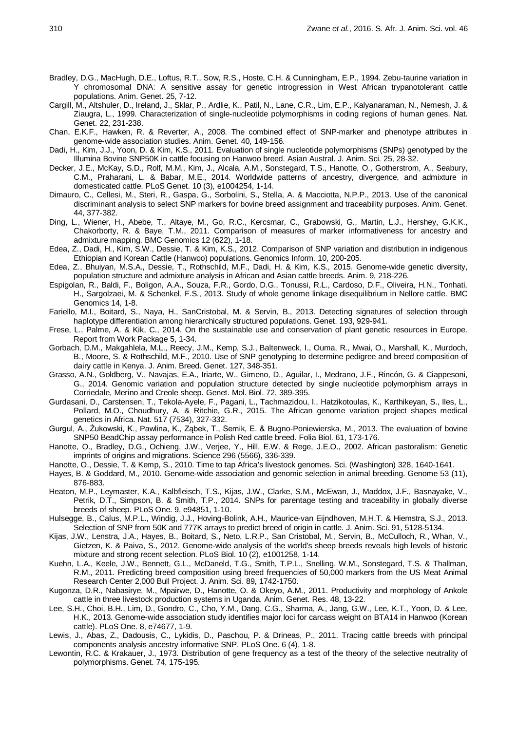- Bradley, D.G., MacHugh, D.E., Loftus, R.T., Sow, R.S., Hoste, C.H. & Cunningham, E.P., 1994. Zebu-taurine variation in Y chromosomal DNA: A sensitive assay for genetic introgression in West African trypanotolerant cattle populations. Anim. Genet. 25, 7-12.
- Cargill, M., Altshuler, D., Ireland, J., Sklar, P., Ardlie, K., Patil, N., Lane, C.R., Lim, E.P., Kalyanaraman, N., Nemesh, J. & Ziaugra, L., 1999. Characterization of single-nucleotide polymorphisms in coding regions of human genes. Nat. Genet. 22, 231-238.
- Chan, E.K.F., Hawken, R. & Reverter, A., 2008. The combined effect of SNP-marker and phenotype attributes in genome-wide association studies. Anim. Genet*.* 40, 149-156.
- Dadi, H., Kim, J.J., Yoon, D. & Kim, K.S., 2011. Evaluation of single nucleotide polymorphisms (SNPs) genotyped by the Illumina Bovine SNP50K in cattle focusing on Hanwoo breed. Asian Austral. J. Anim. Sci. 25, 28-32.
- Decker, J.E., McKay, S.D., Rolf, M.M., Kim, J., Alcala, A.M., Sonstegard, T.S., Hanotte, O., Gotherstrom, A., Seabury, C.M., Praharani, L. & Babar, M.E., 2014. Worldwide patterns of ancestry, divergence, and admixture in domesticated cattle. PLoS Genet. 10 (3), e1004254, 1-14.
- Dimauro, C., Cellesi, M., Steri, R., Gaspa, G., Sorbolini, S., Stella, A. & Macciotta, N.P.P., 2013. Use of the canonical discriminant analysis to select SNP markers for bovine breed assignment and traceability purposes. Anim. Genet. 44, 377-382.
- Ding, L., Wiener, H., Abebe, T., Altaye, M., Go, R.C., Kercsmar, C., Grabowski, G., Martin, L.J., Hershey, G.K.K., Chakorborty, R. & Baye, T.M., 2011. Comparison of measures of marker informativeness for ancestry and admixture mapping. BMC Genomics 12 (622), 1-18.
- Edea, Z., Dadi, H., Kim, S.W., Dessie, T. & Kim, K.S., 2012. Comparison of SNP variation and distribution in indigenous Ethiopian and Korean Cattle (Hanwoo) populations. Genomics Inform*.* 10, 200-205.
- Edea, Z., Bhuiyan, M.S.A., Dessie, T., Rothschild, M.F., Dadi, H. & Kim, K.S., 2015. Genome-wide genetic diversity, population structure and admixture analysis in African and Asian cattle breeds. Anim. 9, 218-226.
- Espigolan, R., Baldi, F., Boligon, A.A., Souza, F.R., Gordo, D.G., Tonussi, R.L., Cardoso, D.F., Oliveira, H.N., Tonhati, H., Sargolzaei, M. & Schenkel, F.S., 2013. Study of whole genome linkage disequilibrium in Nellore cattle. BMC Genomics 14, 1-8.
- Fariello, M.I., Boitard, S., Naya, H., SanCristobal, M. & Servin, B., 2013. Detecting signatures of selection through haplotype differentiation among hierarchically structured populations. Genet. 193, 929-941.
- Frese, L., Palme, A. & Kik, C., 2014. On the sustainable use and conservation of plant genetic resources in Europe. Report from Work Package 5, 1-34.
- Gorbach, D.M., Makgahlela, M.L., Reecy, J.M., Kemp, S.J., Baltenweck, I., Ouma, R., Mwai, O., Marshall, K., Murdoch, B., Moore, S. & Rothschild, M.F., 2010. Use of SNP genotyping to determine pedigree and breed composition of dairy cattle in Kenya. J. Anim. Breed. Genet. 127, 348-351.
- Grasso, A.N., Goldberg, V., Navajas, E.A., Iriarte, W., Gimeno, D., Aguilar, I., Medrano, J.F., Rincón, G. & Ciappesoni, G., 2014. Genomic variation and population structure detected by single nucleotide polymorphism arrays in Corriedale, Merino and Creole sheep. Genet. Mol. Biol. 72, 389-395.
- Gurdasani, D., Carstensen, T., Tekola-Ayele, F., Pagani, L., Tachmazidou, I., Hatzikotoulas, K., Karthikeyan, S., Iles, L., Pollard, M.O., Choudhury, A. & Ritchie, G.R., 2015. The African genome variation project shapes medical genetics in Africa. Nat. 517 (7534), 327-332.
- Gurgul, A., Żukowski, K., Pawlina, K., Ząbek, T., Semik, E. & Bugno-Poniewierska, M., 2013. The evaluation of bovine SNP50 BeadChip assay performance in Polish Red cattle breed. Folia Biol. 61, 173-176.
- Hanotte, O., Bradley, D.G., Ochieng, J.W., Verjee, Y., Hill, E.W. & Rege, J.E.O., 2002. African pastoralism: Genetic imprints of origins and migrations. Science 296 (5566), 336-339.
- Hanotte, O., Dessie, T. & Kemp, S., 2010. Time to tap Africa's livestock genomes. Sci. (Washington) 328, 1640-1641.
- Hayes, B. & Goddard, M., 2010. Genome-wide association and genomic selection in animal breeding. Genome 53 (11), 876-883.
- Heaton, M.P., Leymaster, K.A., Kalbfleisch, T.S., Kijas, J.W., Clarke, S.M., McEwan, J., Maddox, J.F., Basnayake, V., Petrik, D.T., Simpson, B. & Smith, T.P., 2014. SNPs for parentage testing and traceability in globally diverse breeds of sheep. PLoS One. 9, e94851, 1-10.
- Hulsegge, B., Calus, M.P.L., Windig, J.J., Hoving-Bolink, A.H., Maurice-van Eijndhoven, M.H.T. & Hiemstra, S.J., 2013. Selection of SNP from 50K and 777K arrays to predict breed of origin in cattle. J. Anim. Sci. 91, 5128-5134.
- Kijas, J.W., Lenstra, J.A., Hayes, B., Boitard, S., Neto, L.R.P., San Cristobal, M., Servin, B., McCulloch, R., Whan, V., Gietzen, K. & Paiva, S., 2012. Genome-wide analysis of the world's sheep breeds reveals high levels of historic mixture and strong recent selection. PLoS Biol. 10 (2), e1001258, 1-14.
- Kuehn, L.A., Keele, J.W., Bennett, G.L., McDaneld, T.G., Smith, T.P.L., Snelling, W.M., Sonstegard, T.S. & Thallman, R.M., 2011. Predicting breed composition using breed frequencies of 50,000 markers from the US Meat Animal Research Center 2,000 Bull Project. J. Anim. Sci. 89, 1742-1750.
- Kugonza, D.R., Nabasirye, M., Mpairwe, D., Hanotte, O. & Okeyo, A.M., 2011. Productivity and morphology of Ankole cattle in three livestock production systems in Uganda. Anim. Genet. Res. 48, 13-22.
- Lee, S.H., Choi, B.H., Lim, D., Gondro, C., Cho, Y.M., Dang, C.G., Sharma, A., Jang, G.W., Lee, K.T., Yoon, D. & Lee, H.K., 2013. Genome-wide association study identifies major loci for carcass weight on BTA14 in Hanwoo (Korean cattle). PLoS One. 8, e74677, 1-9.
- Lewis, J., Abas, Z., Dadousis, C., Lykidis, D., Paschou, P. & Drineas, P., 2011. Tracing cattle breeds with principal components analysis ancestry informative SNP. PLoS One. 6 (4), 1-8.
- Lewontin, R.C. & Krakauer, J., 1973. Distribution of gene frequency as a test of the theory of the selective neutrality of polymorphisms. Genet. 74, 175-195.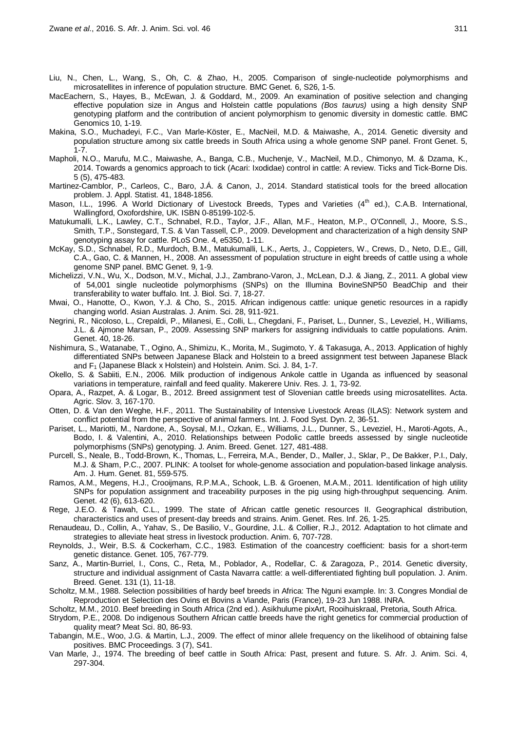- Liu, N., Chen, L., Wang, S., Oh, C. & Zhao, H., 2005. Comparison of single-nucleotide polymorphisms and microsatellites in inference of population structure. BMC Genet*.* 6, S26, 1-5.
- MacEachern, S., Hayes, B., McEwan, J. & Goddard, M., 2009. An examination of positive selection and changing effective population size in Angus and Holstein cattle populations *(Bos taurus)* using a high density SNP genotyping platform and the contribution of ancient polymorphism to genomic diversity in domestic cattle. BMC Genomics 10, 1-19.
- Makina, S.O., Muchadeyi, F.C., Van Marle-Köster, E., MacNeil, M.D. & Maiwashe, A., 2014. Genetic diversity and population structure among six cattle breeds in South Africa using a whole genome SNP panel. Front Genet. 5, 1-7.
- Mapholi, N.O., Marufu, M.C., Maiwashe, A., Banga, C.B., Muchenje, V., MacNeil, M.D., Chimonyo, M. & Dzama, K., 2014. Towards a genomics approach to tick (Acari: Ixodidae) control in cattle: A review. Ticks and Tick-Borne Dis. 5 (5), 475-483.
- Martinez-Camblor, P., Carleos, C., Baro, J.Á. & Canon, J., 2014. Standard statistical tools for the breed allocation problem. J. Appl. Statist. 41, 1848-1856.
- Mason, I.L., 1996. A World Dictionary of Livestock Breeds, Types and Varieties (4<sup>th</sup> ed.), C.A.B. International, Wallingford, Oxofordshire, UK. ISBN 0-85199-102-5.
- Matukumalli, L.K., Lawley, C.T., Schnabel, R.D., Taylor, J.F., Allan, M.F., Heaton, M.P., O'Connell, J., Moore, S.S., Smith, T.P., Sonstegard, T.S. & Van Tassell, C.P., 2009. Development and characterization of a high density SNP genotyping assay for cattle. PLoS One. 4, e5350, 1-11.
- McKay, S.D., Schnabel, R.D., Murdoch, B.M., Matukumalli, L.K., Aerts, J., Coppieters, W., Crews, D., Neto, D.E., Gill, C.A., Gao, C. & Mannen, H., 2008. An assessment of population structure in eight breeds of cattle using a whole genome SNP panel. BMC Genet. 9, 1-9.
- Michelizzi, V.N., Wu, X., Dodson, M.V., Michal, J.J., Zambrano-Varon, J., McLean, D.J. & Jiang, Z., 2011. A global view of 54,001 single nucleotide polymorphisms (SNPs) on the Illumina BovineSNP50 BeadChip and their transferability to water buffalo. Int. J. Biol. Sci. 7, 18-27.
- Mwai, O., Hanotte, O., Kwon, Y.J. & Cho, S., 2015. African indigenous cattle: unique genetic resources in a rapidly changing world. Asian Australas. J. Anim. Sci. 28, 911-921.
- Negrini, R., Nicoloso, L., Crepaldi, P., Milanesi, E., Colli, L., Chegdani, F., Pariset, L., Dunner, S., Leveziel, H., Williams, J.L. & Ajmone Marsan, P., 2009. Assessing SNP markers for assigning individuals to cattle populations. Anim. Genet. 40, 18-26.
- Nishimura, S., Watanabe, T., Ogino, A., Shimizu, K., Morita, M., Sugimoto, Y. & Takasuga, A., 2013. Application of highly differentiated SNPs between Japanese Black and Holstein to a breed assignment test between Japanese Black and  $F_1$  (Japanese Black x Holstein) and Holstein. Anim. Sci. J. 84, 1-7.
- Okello, S. & Sabiiti, E.N., 2006. Milk production of indigenous Ankole cattle in Uganda as influenced by seasonal variations in temperature, rainfall and feed quality. Makerere Univ. Res. J*.* 1, 73-92.
- Opara, A., Razpet, A. & Logar, B., 2012. Breed assignment test of Slovenian cattle breeds using microsatellites. Acta. Agric. Slov*.* 3, 167-170.
- Otten, D. & Van den Weghe, H.F., 2011. The Sustainability of Intensive Livestock Areas (ILAS): Network system and conflict potential from the perspective of animal farmers. Int. J. Food Syst. Dyn. 2, 36-51.
- Pariset, L., Mariotti, M., Nardone, A., Soysal, M.I., Ozkan, E., Williams, J.L., Dunner, S., Leveziel, H., Maroti‐Agots, A., Bodo, I. & Valentini, A., 2010. Relationships between Podolic cattle breeds assessed by single nucleotide polymorphisms (SNPs) genotyping. J. Anim. Breed. Genet. 127*,* 481-488.
- Purcell, S., Neale, B., Todd-Brown, K., Thomas, L., Ferreira, M.A., Bender, D., Maller, J., Sklar, P., De Bakker, P.I., Daly, M.J. & Sham, P.C., 2007. PLINK: A toolset for whole-genome association and population-based linkage analysis. Am. J. Hum. Genet. 81, 559-575.
- Ramos, A.M., Megens, H.J., Crooijmans, R.P.M.A., Schook, L.B. & Groenen, M.A.M., 2011. Identification of high utility SNPs for population assignment and traceability purposes in the pig using high-throughput sequencing. Anim. Genet. 42 (6), 613-620.
- Rege, J.E.O. & Tawah, C.L., 1999. The state of African cattle genetic resources II. Geographical distribution, characteristics and uses of present-day breeds and strains. Anim. Genet. Res. Inf. 26, 1-25.
- Renaudeau, D., Collin, A., Yahav, S., De Basilio, V., Gourdine, J.L. & Collier, R.J., 2012. Adaptation to hot climate and strategies to alleviate heat stress in livestock production. Anim. 6, 707-728.
- Reynolds, J., Weir, B.S. & Cockerham, C.C., 1983. Estimation of the coancestry coefficient: basis for a short-term genetic distance. Genet. 105, 767-779.
- Sanz, A., Martin‐Burriel, I., Cons, C., Reta, M., Poblador, A., Rodellar, C. & Zaragoza, P., 2014. Genetic diversity, structure and individual assignment of Casta Navarra cattle: a well‐differentiated fighting bull population. J. Anim. Breed. Genet. 131 (1), 11-18.
- Scholtz, M.M., 1988. Selection possibilities of hardy beef breeds in Africa: The Nguni example. In: 3. Congres Mondial de Reproduction et Selection des Ovins et Bovins a Viande, Paris (France), 19-23 Jun 1988. INRA.
- Scholtz, M.M., 2010. Beef breeding in South Africa (2nd ed.). Asikhulume pixArt, Rooihuiskraal, Pretoria, South Africa.
- Strydom, P.E., 2008. Do indigenous Southern African cattle breeds have the right genetics for commercial production of quality meat? Meat Sci. 80, 86-93.
- Tabangin, M.E., Woo, J.G. & Martin, L.J., 2009. The effect of minor allele frequency on the likelihood of obtaining false positives. BMC Proceedings. 3 (7), S41.
- Van Marle, J., 1974. The breeding of beef cattle in South Africa: Past, present and future. S. Afr. J. Anim. Sci. 4, 297-304.